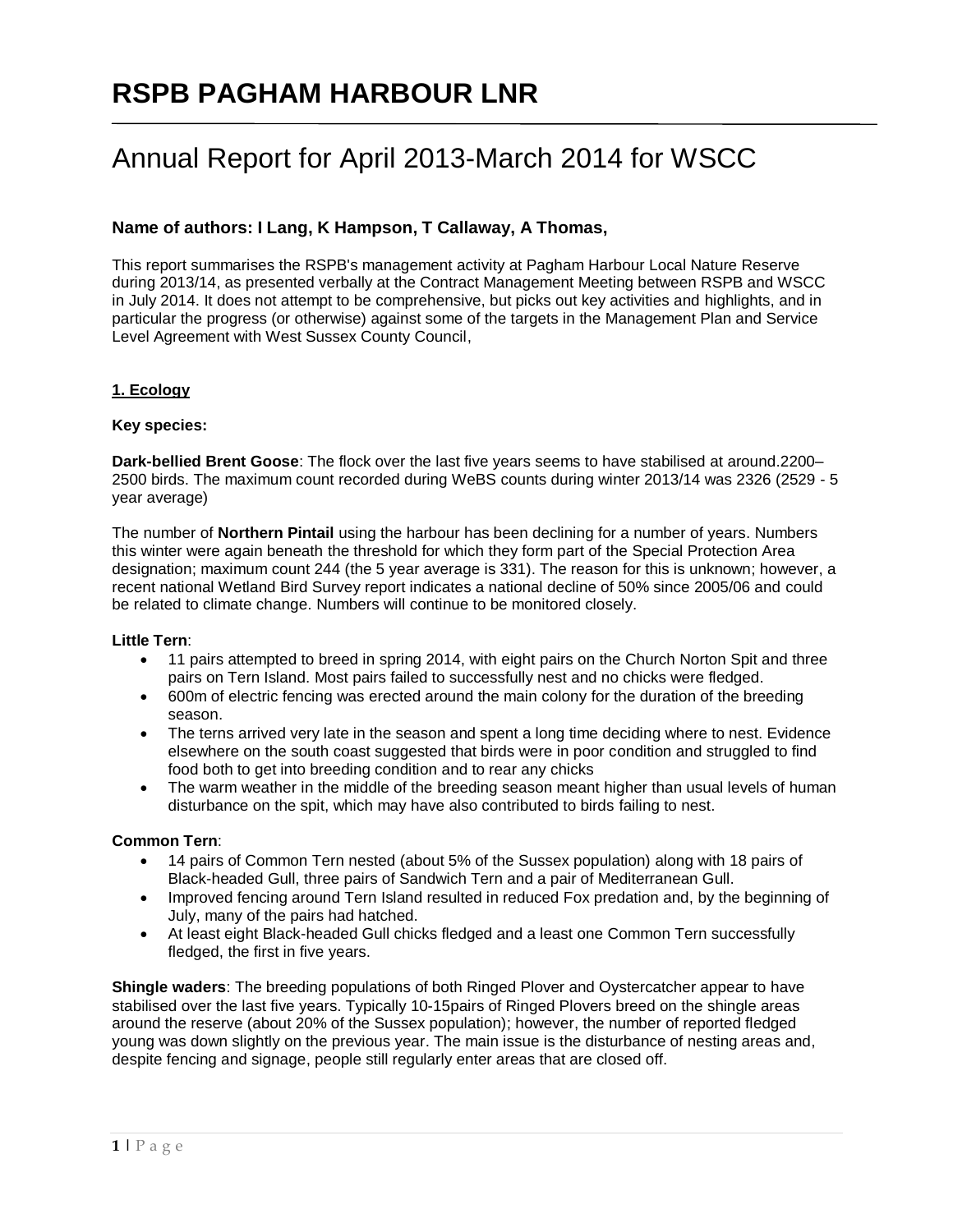# **RSPB PAGHAM HARBOUR LNR**

## Annual Report for April 2013-March 2014 for WSCC

## **Name of authors: I Lang, K Hampson, T Callaway, A Thomas,**

This report summarises the RSPB's management activity at Pagham Harbour Local Nature Reserve during 2013/14, as presented verbally at the Contract Management Meeting between RSPB and WSCC in July 2014. It does not attempt to be comprehensive, but picks out key activities and highlights, and in particular the progress (or otherwise) against some of the targets in the Management Plan and Service Level Agreement with West Sussex County Council,

### **1. Ecology**

#### **Key species:**

**Dark-bellied Brent Goose**: The flock over the last five years seems to have stabilised at around.2200– 2500 birds. The maximum count recorded during WeBS counts during winter 2013/14 was 2326 (2529 - 5 year average)

The number of **Northern Pintail** using the harbour has been declining for a number of years. Numbers this winter were again beneath the threshold for which they form part of the Special Protection Area designation; maximum count 244 (the 5 year average is 331). The reason for this is unknown; however, a recent national Wetland Bird Survey report indicates a national decline of 50% since 2005/06 and could be related to climate change. Numbers will continue to be monitored closely.

#### **Little Tern**:

- 11 pairs attempted to breed in spring 2014, with eight pairs on the Church Norton Spit and three pairs on Tern Island. Most pairs failed to successfully nest and no chicks were fledged.
- 600m of electric fencing was erected around the main colony for the duration of the breeding season.
- The terns arrived very late in the season and spent a long time deciding where to nest. Evidence elsewhere on the south coast suggested that birds were in poor condition and struggled to find food both to get into breeding condition and to rear any chicks
- The warm weather in the middle of the breeding season meant higher than usual levels of human disturbance on the spit, which may have also contributed to birds failing to nest.

#### **Common Tern**:

- 14 pairs of Common Tern nested (about 5% of the Sussex population) along with 18 pairs of Black-headed Gull, three pairs of Sandwich Tern and a pair of Mediterranean Gull.
- Improved fencing around Tern Island resulted in reduced Fox predation and, by the beginning of July, many of the pairs had hatched.
- At least eight Black-headed Gull chicks fledged and a least one Common Tern successfully fledged, the first in five years.

**Shingle waders**: The breeding populations of both Ringed Plover and Oystercatcher appear to have stabilised over the last five years. Typically 10-15pairs of Ringed Plovers breed on the shingle areas around the reserve (about 20% of the Sussex population); however, the number of reported fledged young was down slightly on the previous year. The main issue is the disturbance of nesting areas and, despite fencing and signage, people still regularly enter areas that are closed off.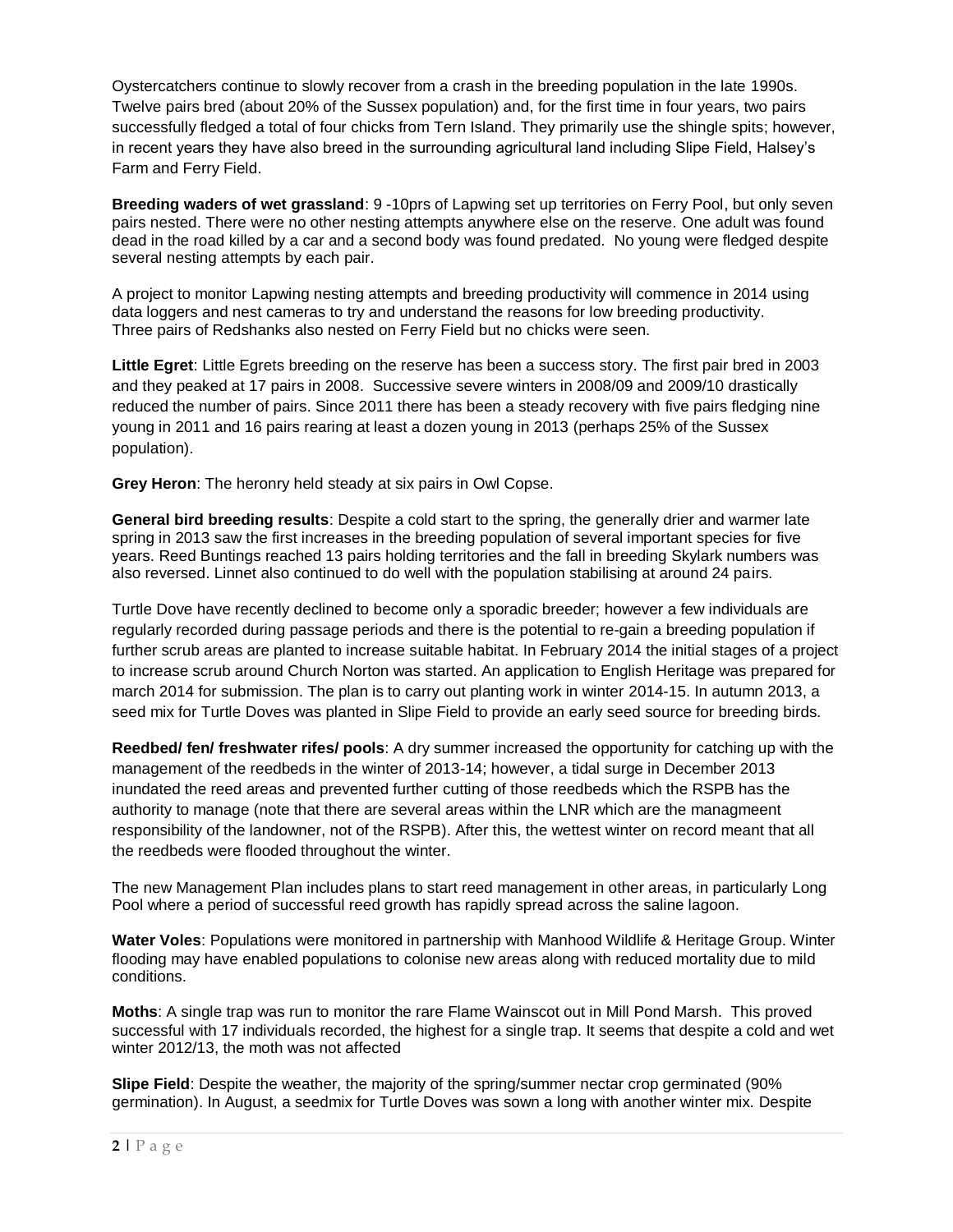Oystercatchers continue to slowly recover from a crash in the breeding population in the late 1990s. Twelve pairs bred (about 20% of the Sussex population) and, for the first time in four years, two pairs successfully fledged a total of four chicks from Tern Island. They primarily use the shingle spits; however, in recent years they have also breed in the surrounding agricultural land including Slipe Field, Halsey's Farm and Ferry Field.

**Breeding waders of wet grassland**: 9 -10prs of Lapwing set up territories on Ferry Pool, but only seven pairs nested. There were no other nesting attempts anywhere else on the reserve. One adult was found dead in the road killed by a car and a second body was found predated. No young were fledged despite several nesting attempts by each pair.

A project to monitor Lapwing nesting attempts and breeding productivity will commence in 2014 using data loggers and nest cameras to try and understand the reasons for low breeding productivity. Three pairs of Redshanks also nested on Ferry Field but no chicks were seen.

**Little Egret**: Little Egrets breeding on the reserve has been a success story. The first pair bred in 2003 and they peaked at 17 pairs in 2008. Successive severe winters in 2008/09 and 2009/10 drastically reduced the number of pairs. Since 2011 there has been a steady recovery with five pairs fledging nine young in 2011 and 16 pairs rearing at least a dozen young in 2013 (perhaps 25% of the Sussex population).

**Grey Heron**: The heronry held steady at six pairs in Owl Copse.

**General bird breeding results**: Despite a cold start to the spring, the generally drier and warmer late spring in 2013 saw the first increases in the breeding population of several important species for five years. Reed Buntings reached 13 pairs holding territories and the fall in breeding Skylark numbers was also reversed. Linnet also continued to do well with the population stabilising at around 24 pairs.

Turtle Dove have recently declined to become only a sporadic breeder; however a few individuals are regularly recorded during passage periods and there is the potential to re-gain a breeding population if further scrub areas are planted to increase suitable habitat. In February 2014 the initial stages of a project to increase scrub around Church Norton was started. An application to English Heritage was prepared for march 2014 for submission. The plan is to carry out planting work in winter 2014-15. In autumn 2013, a seed mix for Turtle Doves was planted in Slipe Field to provide an early seed source for breeding birds.

**Reedbed/ fen/ freshwater rifes/ pools**: A dry summer increased the opportunity for catching up with the management of the reedbeds in the winter of 2013-14; however, a tidal surge in December 2013 inundated the reed areas and prevented further cutting of those reedbeds which the RSPB has the authority to manage (note that there are several areas within the LNR which are the managmeent responsibility of the landowner, not of the RSPB). After this, the wettest winter on record meant that all the reedbeds were flooded throughout the winter.

The new Management Plan includes plans to start reed management in other areas, in particularly Long Pool where a period of successful reed growth has rapidly spread across the saline lagoon.

**Water Voles**: Populations were monitored in partnership with Manhood Wildlife & Heritage Group. Winter flooding may have enabled populations to colonise new areas along with reduced mortality due to mild conditions.

**Moths**: A single trap was run to monitor the rare Flame Wainscot out in Mill Pond Marsh. This proved successful with 17 individuals recorded, the highest for a single trap. It seems that despite a cold and wet winter 2012/13, the moth was not affected

**Slipe Field**: Despite the weather, the majority of the spring/summer nectar crop germinated (90% germination). In August, a seedmix for Turtle Doves was sown a long with another winter mix. Despite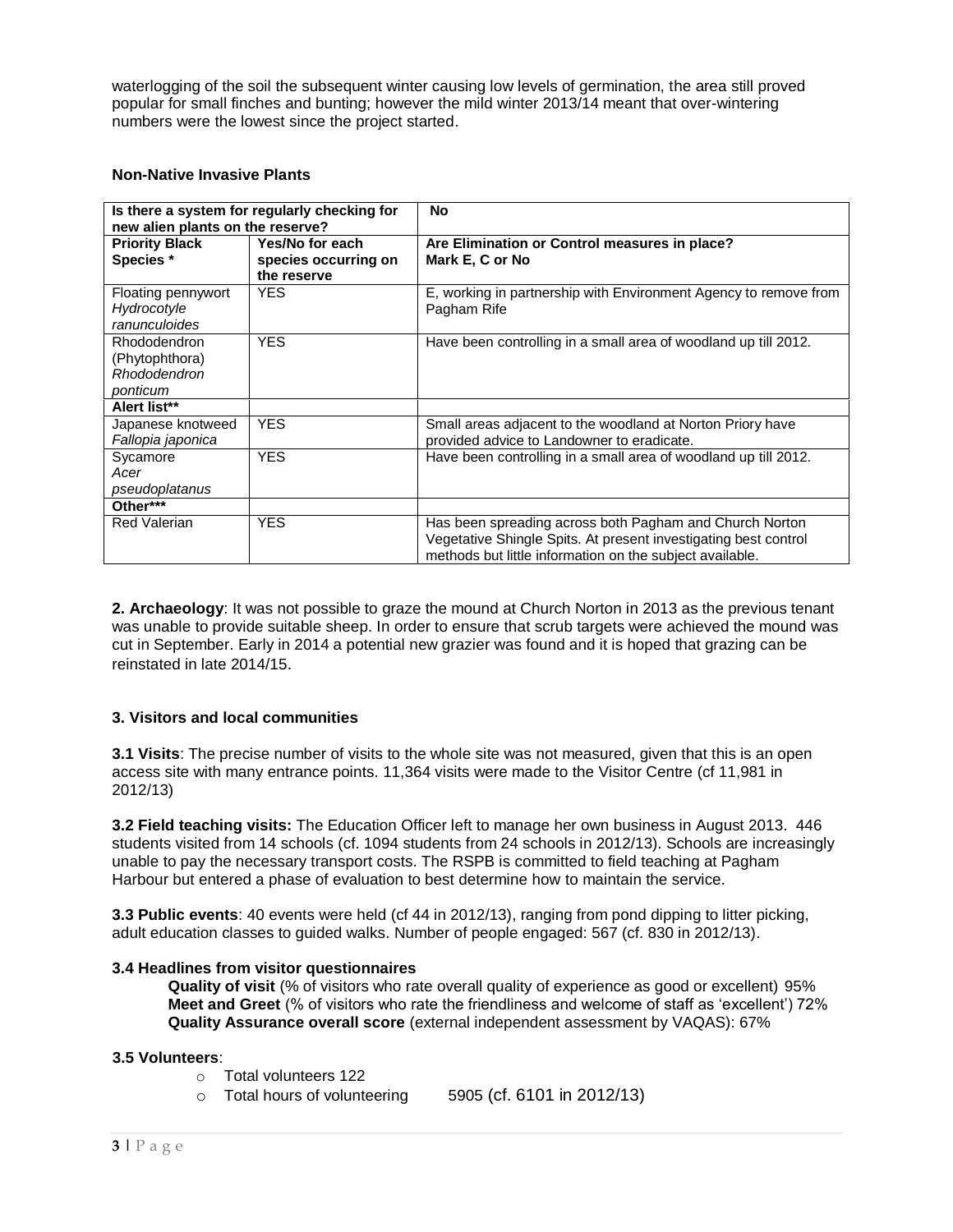waterlogging of the soil the subsequent winter causing low levels of germination, the area still proved popular for small finches and bunting; however the mild winter 2013/14 meant that over-wintering numbers were the lowest since the project started.

#### **Non-Native Invasive Plants**

| Is there a system for regularly checking for<br>new alien plants on the reserve? |                                                        | No                                                                                                                                                                                     |
|----------------------------------------------------------------------------------|--------------------------------------------------------|----------------------------------------------------------------------------------------------------------------------------------------------------------------------------------------|
| <b>Priority Black</b><br>Species *                                               | Yes/No for each<br>species occurring on<br>the reserve | Are Elimination or Control measures in place?<br>Mark E, C or No                                                                                                                       |
| Floating pennywort<br>Hydrocotyle<br>ranunculoides                               | <b>YES</b>                                             | E, working in partnership with Environment Agency to remove from<br>Pagham Rife                                                                                                        |
| Rhododendron<br>(Phytophthora)<br>Rhododendron<br>ponticum                       | <b>YES</b>                                             | Have been controlling in a small area of woodland up till 2012.                                                                                                                        |
| Alert list**                                                                     |                                                        |                                                                                                                                                                                        |
| Japanese knotweed<br>Fallopia japonica                                           | <b>YES</b>                                             | Small areas adjacent to the woodland at Norton Priory have<br>provided advice to Landowner to eradicate.                                                                               |
| Sycamore<br>Acer<br>pseudoplatanus                                               | <b>YES</b>                                             | Have been controlling in a small area of woodland up till 2012.                                                                                                                        |
| Other***                                                                         |                                                        |                                                                                                                                                                                        |
| Red Valerian                                                                     | <b>YES</b>                                             | Has been spreading across both Pagham and Church Norton<br>Vegetative Shingle Spits. At present investigating best control<br>methods but little information on the subject available. |

**2. Archaeology**: It was not possible to graze the mound at Church Norton in 2013 as the previous tenant was unable to provide suitable sheep. In order to ensure that scrub targets were achieved the mound was cut in September. Early in 2014 a potential new grazier was found and it is hoped that grazing can be reinstated in late 2014/15.

#### **3. Visitors and local communities**

**3.1 Visits**: The precise number of visits to the whole site was not measured, given that this is an open access site with many entrance points. 11,364 visits were made to the Visitor Centre (cf 11,981 in 2012/13)

**3.2 Field teaching visits:** The Education Officer left to manage her own business in August 2013. 446 students visited from 14 schools (cf. 1094 students from 24 schools in 2012/13). Schools are increasingly unable to pay the necessary transport costs. The RSPB is committed to field teaching at Pagham Harbour but entered a phase of evaluation to best determine how to maintain the service.

**3.3 Public events**: 40 events were held (cf 44 in 2012/13), ranging from pond dipping to litter picking, adult education classes to guided walks. Number of people engaged: 567 (cf. 830 in 2012/13).

#### **3.4 Headlines from visitor questionnaires**

**Quality of visit** (% of visitors who rate overall quality of experience as good or excellent) 95% **Meet and Greet** (% of visitors who rate the friendliness and welcome of staff as 'excellent') 72% **Quality Assurance overall score** (external independent assessment by VAQAS): 67%

#### **3.5 Volunteers**:

- o Total volunteers 122
- o Total hours of volunteering 5905 (cf. 6101 in 2012/13)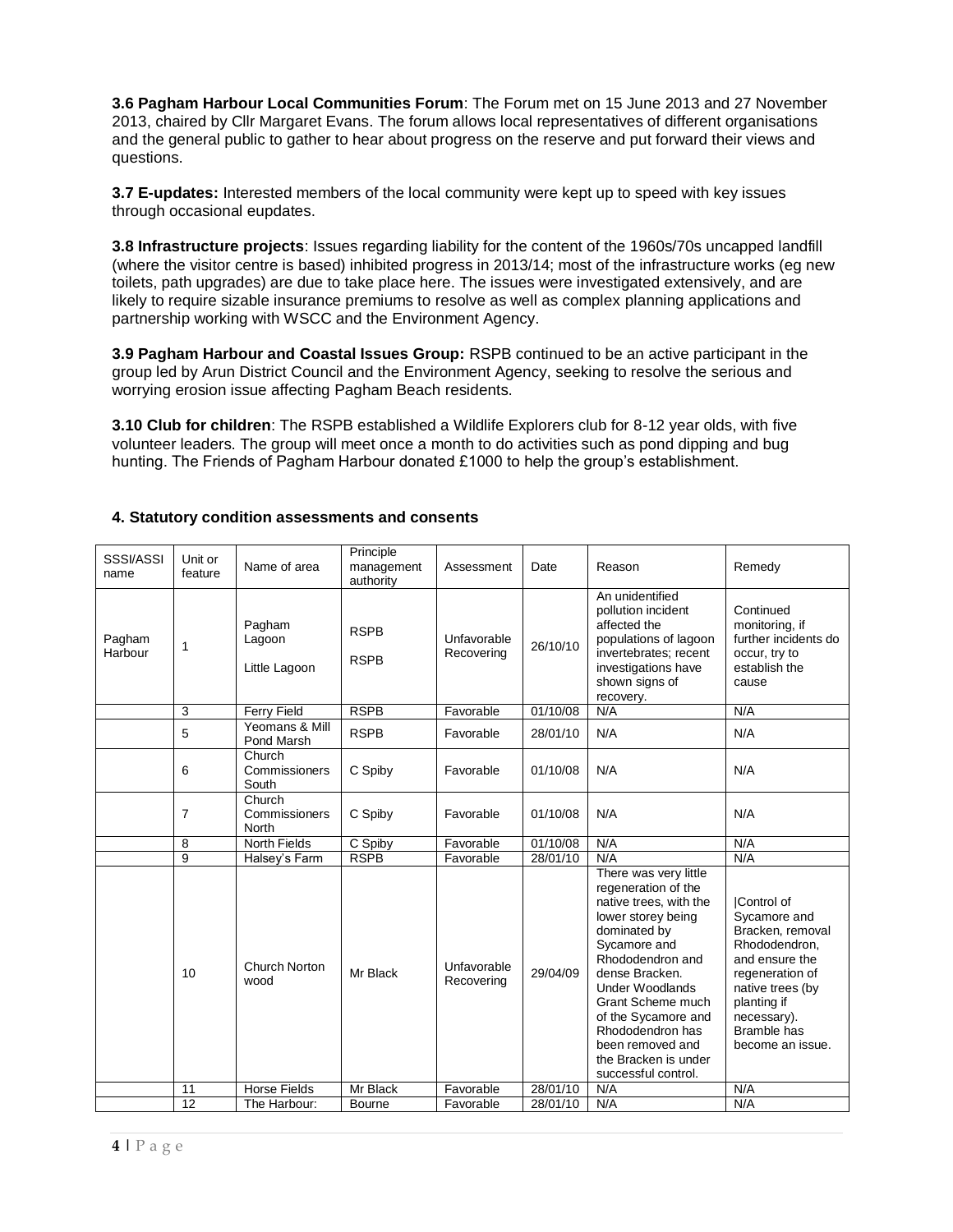**3.6 Pagham Harbour Local Communities Forum**: The Forum met on 15 June 2013 and 27 November 2013, chaired by Cllr Margaret Evans. The forum allows local representatives of different organisations and the general public to gather to hear about progress on the reserve and put forward their views and questions.

**3.7 E-updates:** Interested members of the local community were kept up to speed with key issues through occasional eupdates.

**3.8 Infrastructure projects**: Issues regarding liability for the content of the 1960s/70s uncapped landfill (where the visitor centre is based) inhibited progress in 2013/14; most of the infrastructure works (eg new toilets, path upgrades) are due to take place here. The issues were investigated extensively, and are likely to require sizable insurance premiums to resolve as well as complex planning applications and partnership working with WSCC and the Environment Agency.

**3.9 Pagham Harbour and Coastal Issues Group:** RSPB continued to be an active participant in the group led by Arun District Council and the Environment Agency, seeking to resolve the serious and worrying erosion issue affecting Pagham Beach residents.

**3.10 Club for children**: The RSPB established a Wildlife Explorers club for 8-12 year olds, with five volunteer leaders. The group will meet once a month to do activities such as pond dipping and bug hunting. The Friends of Pagham Harbour donated £1000 to help the group's establishment.

| SSSI/ASSI<br>name | Unit or<br>feature | Name of area                      | Principle<br>management<br>authority | Assessment                | Date     | Reason                                                                                                                                                                                                                                                                                                                          | Remedy                                                                                                                                                                                    |
|-------------------|--------------------|-----------------------------------|--------------------------------------|---------------------------|----------|---------------------------------------------------------------------------------------------------------------------------------------------------------------------------------------------------------------------------------------------------------------------------------------------------------------------------------|-------------------------------------------------------------------------------------------------------------------------------------------------------------------------------------------|
| Pagham<br>Harbour | 1                  | Pagham<br>Lagoon<br>Little Lagoon | <b>RSPB</b><br><b>RSPB</b>           | Unfavorable<br>Recovering | 26/10/10 | An unidentified<br>pollution incident<br>affected the<br>populations of lagoon<br>invertebrates; recent<br>investigations have<br>shown signs of<br>recovery.                                                                                                                                                                   | Continued<br>monitoring, if<br>further incidents do<br>occur, try to<br>establish the<br>cause                                                                                            |
|                   | 3                  | <b>Ferry Field</b>                | <b>RSPB</b>                          | Favorable                 | 01/10/08 | N/A                                                                                                                                                                                                                                                                                                                             | N/A                                                                                                                                                                                       |
|                   | 5                  | Yeomans & Mill<br>Pond Marsh      | <b>RSPB</b>                          | Favorable                 | 28/01/10 | N/A                                                                                                                                                                                                                                                                                                                             | N/A                                                                                                                                                                                       |
|                   | 6                  | Church<br>Commissioners<br>South  | C Spiby                              | Favorable                 | 01/10/08 | N/A                                                                                                                                                                                                                                                                                                                             | N/A                                                                                                                                                                                       |
|                   | $\overline{7}$     | Church<br>Commissioners<br>North  | C Spiby                              | Favorable                 | 01/10/08 | N/A                                                                                                                                                                                                                                                                                                                             | N/A                                                                                                                                                                                       |
|                   | 8                  | <b>North Fields</b>               | C Spiby                              | Favorable                 | 01/10/08 | N/A                                                                                                                                                                                                                                                                                                                             | N/A                                                                                                                                                                                       |
|                   | 9                  | Halsey's Farm                     | <b>RSPB</b>                          | Favorable                 | 28/01/10 | N/A                                                                                                                                                                                                                                                                                                                             | N/A                                                                                                                                                                                       |
|                   | 10                 | Church Norton<br>wood             | Mr Black                             | Unfavorable<br>Recovering | 29/04/09 | There was very little<br>regeneration of the<br>native trees, with the<br>lower storey being<br>dominated by<br>Sycamore and<br>Rhododendron and<br>dense Bracken.<br><b>Under Woodlands</b><br>Grant Scheme much<br>of the Sycamore and<br>Rhododendron has<br>been removed and<br>the Bracken is under<br>successful control. | Control of<br>Sycamore and<br>Bracken, removal<br>Rhododendron,<br>and ensure the<br>regeneration of<br>native trees (by<br>planting if<br>necessary).<br>Bramble has<br>become an issue. |
|                   | 11                 | <b>Horse Fields</b>               | Mr Black                             | Favorable                 | 28/01/10 | N/A                                                                                                                                                                                                                                                                                                                             | N/A                                                                                                                                                                                       |
|                   | 12                 | The Harbour:                      | Bourne                               | Favorable                 | 28/01/10 | N/A                                                                                                                                                                                                                                                                                                                             | N/A                                                                                                                                                                                       |

#### **4. Statutory condition assessments and consents**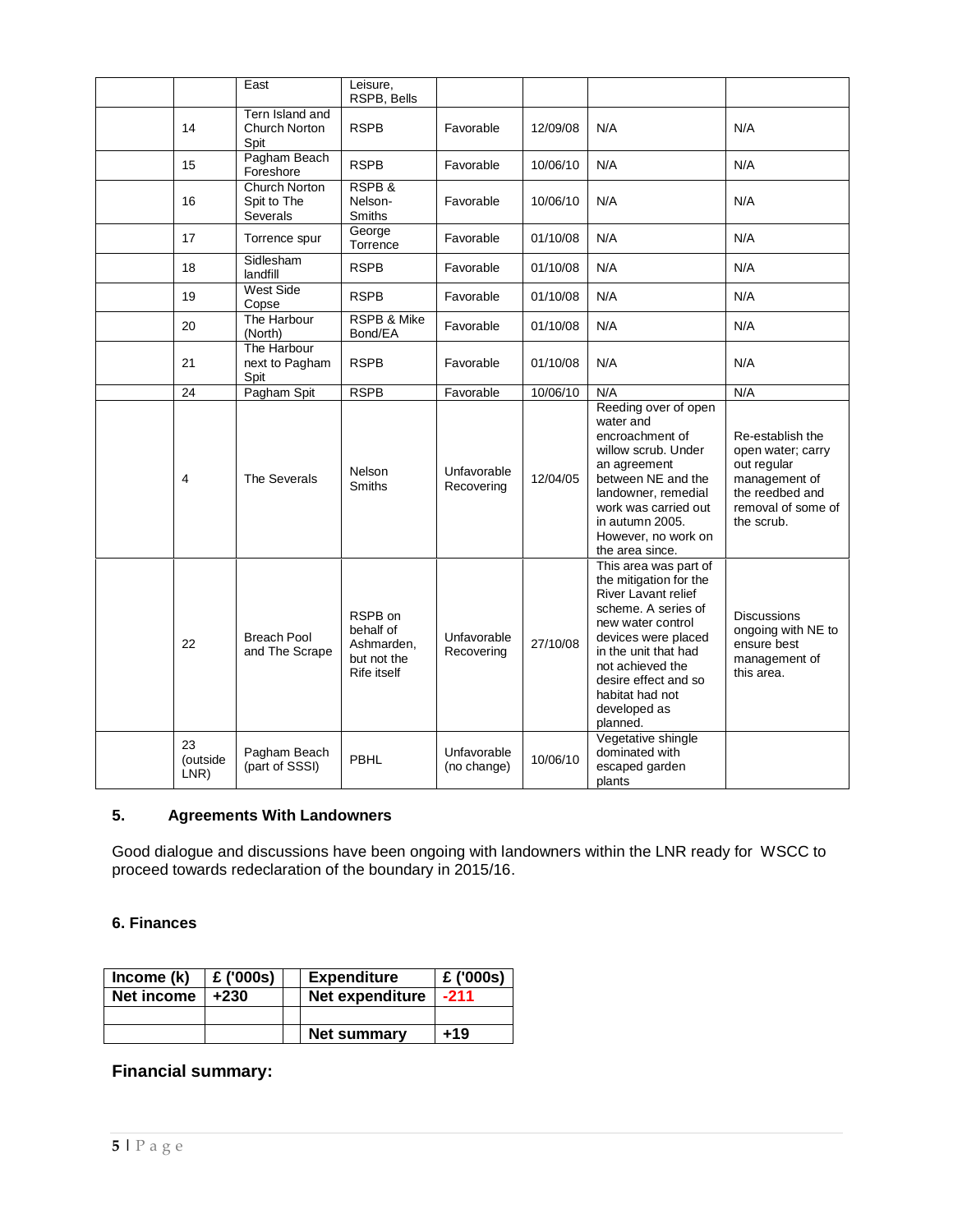|                        | East                                     | Leisure,<br>RSPB, Bells                                          |                            |          |                                                                                                                                                                                                                                                              |                                                                                                                              |
|------------------------|------------------------------------------|------------------------------------------------------------------|----------------------------|----------|--------------------------------------------------------------------------------------------------------------------------------------------------------------------------------------------------------------------------------------------------------------|------------------------------------------------------------------------------------------------------------------------------|
| 14                     | Tern Island and<br>Church Norton<br>Spit | <b>RSPB</b>                                                      | Favorable                  | 12/09/08 | N/A                                                                                                                                                                                                                                                          | N/A                                                                                                                          |
| 15                     | Pagham Beach<br>Foreshore                | <b>RSPB</b>                                                      | Favorable                  | 10/06/10 | N/A                                                                                                                                                                                                                                                          | N/A                                                                                                                          |
| 16                     | Church Norton<br>Spit to The<br>Severals | RSPB&<br>Nelson-<br><b>Smiths</b>                                | Favorable                  | 10/06/10 | N/A                                                                                                                                                                                                                                                          | N/A                                                                                                                          |
| 17                     | Torrence spur                            | George<br>Torrence                                               | Favorable                  | 01/10/08 | N/A                                                                                                                                                                                                                                                          | N/A                                                                                                                          |
| 18                     | Sidlesham<br>landfill                    | <b>RSPB</b>                                                      | Favorable                  | 01/10/08 | N/A                                                                                                                                                                                                                                                          | N/A                                                                                                                          |
| 19                     | <b>West Side</b><br>Copse                | <b>RSPB</b>                                                      | Favorable                  | 01/10/08 | N/A                                                                                                                                                                                                                                                          | N/A                                                                                                                          |
| 20                     | The Harbour<br>(North)                   | <b>RSPB &amp; Mike</b><br>Bond/EA                                | Favorable                  | 01/10/08 | N/A                                                                                                                                                                                                                                                          | N/A                                                                                                                          |
| 21                     | The Harbour<br>next to Pagham<br>Spit    | <b>RSPB</b>                                                      | Favorable                  | 01/10/08 | N/A                                                                                                                                                                                                                                                          | N/A                                                                                                                          |
| 24                     | Pagham Spit                              | <b>RSPB</b>                                                      | Favorable                  | 10/06/10 | N/A                                                                                                                                                                                                                                                          | N/A                                                                                                                          |
| 4                      | The Severals                             | Nelson<br><b>Smiths</b>                                          | Unfavorable<br>Recovering  | 12/04/05 | Reeding over of open<br>water and<br>encroachment of<br>willow scrub. Under<br>an agreement<br>between NE and the<br>landowner, remedial<br>work was carried out<br>in autumn 2005.<br>However, no work on<br>the area since.                                | Re-establish the<br>open water; carry<br>out regular<br>management of<br>the reedbed and<br>removal of some of<br>the scrub. |
| 22                     | <b>Breach Pool</b><br>and The Scrape     | RSPB on<br>behalf of<br>Ashmarden,<br>but not the<br>Rife itself | Unfavorable<br>Recovering  | 27/10/08 | This area was part of<br>the mitigation for the<br>River Lavant relief<br>scheme. A series of<br>new water control<br>devices were placed<br>in the unit that had<br>not achieved the<br>desire effect and so<br>habitat had not<br>developed as<br>planned. | <b>Discussions</b><br>ongoing with NE to<br>ensure best<br>management of<br>this area.                                       |
| 23<br>(outside<br>LNR) | Pagham Beach<br>(part of SSSI)           | PBHL                                                             | Unfavorable<br>(no change) | 10/06/10 | Vegetative shingle<br>dominated with<br>escaped garden<br>plants                                                                                                                                                                                             |                                                                                                                              |

## **5. Agreements With Landowners**

Good dialogue and discussions have been ongoing with landowners within the LNR ready for WSCC to proceed towards redeclaration of the boundary in 2015/16.

## **6. Finances**

| Income (k) | £ ('000s) | <b>Expenditure</b> | £ ('000s) |
|------------|-----------|--------------------|-----------|
| Net income | $+230$    | Net expenditure    | $-211$    |
|            |           |                    |           |
|            |           | Net summary        | +19       |

## **Financial summary:**